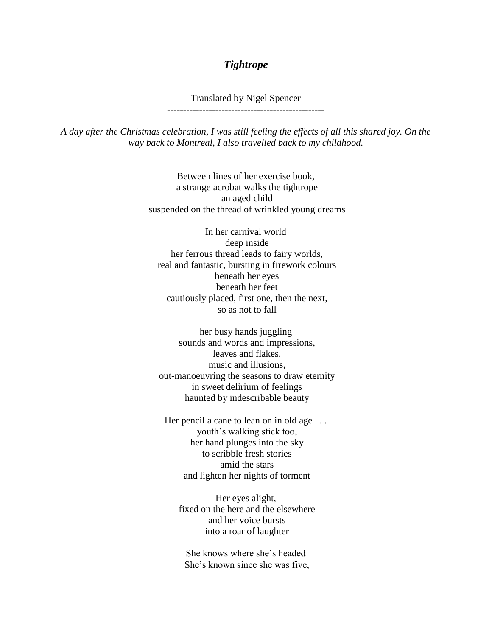## *Tightrope*

Translated by Nigel Spencer -------------------------------------------------

*A day after the Christmas celebration, I was still feeling the effects of all this shared joy. On the way back to Montreal, I also travelled back to my childhood.*

> Between lines of her exercise book, a strange acrobat walks the tightrope an aged child suspended on the thread of wrinkled young dreams

In her carnival world deep inside her ferrous thread leads to fairy worlds, real and fantastic, bursting in firework colours beneath her eyes beneath her feet cautiously placed, first one, then the next, so as not to fall

her busy hands juggling sounds and words and impressions, leaves and flakes, music and illusions, out-manoeuvring the seasons to draw eternity in sweet delirium of feelings haunted by indescribable beauty

Her pencil a cane to lean on in old age ... youth's walking stick too, her hand plunges into the sky to scribble fresh stories amid the stars and lighten her nights of torment

Her eyes alight, fixed on the here and the elsewhere and her voice bursts into a roar of laughter

She knows where she's headed She's known since she was five,